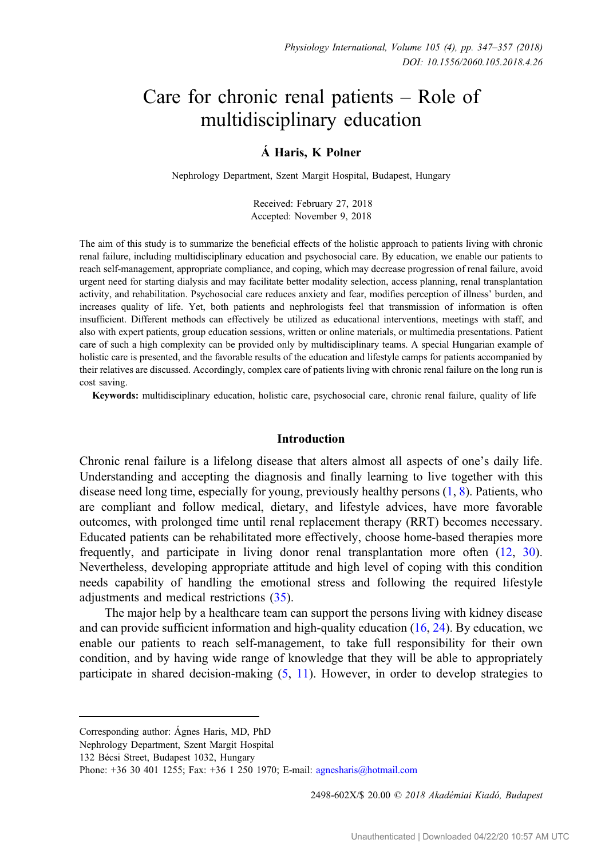# Care for chronic renal patients – Role of multidisciplinary education

## Á Haris, K Polner

Nephrology Department, Szent Margit Hospital, Budapest, Hungary

Received: February 27, 2018 Accepted: November 9, 2018

The aim of this study is to summarize the beneficial effects of the holistic approach to patients living with chronic renal failure, including multidisciplinary education and psychosocial care. By education, we enable our patients to reach self-management, appropriate compliance, and coping, which may decrease progression of renal failure, avoid urgent need for starting dialysis and may facilitate better modality selection, access planning, renal transplantation activity, and rehabilitation. Psychosocial care reduces anxiety and fear, modifies perception of illness' burden, and increases quality of life. Yet, both patients and nephrologists feel that transmission of information is often insufficient. Different methods can effectively be utilized as educational interventions, meetings with staff, and also with expert patients, group education sessions, written or online materials, or multimedia presentations. Patient care of such a high complexity can be provided only by multidisciplinary teams. A special Hungarian example of holistic care is presented, and the favorable results of the education and lifestyle camps for patients accompanied by their relatives are discussed. Accordingly, complex care of patients living with chronic renal failure on the long run is cost saving.

Keywords: multidisciplinary education, holistic care, psychosocial care, chronic renal failure, quality of life

## Introduction

Chronic renal failure is a lifelong disease that alters almost all aspects of one's daily life. Understanding and accepting the diagnosis and finally learning to live together with this disease need long time, especially for young, previously healthy persons ([1,](#page-7-0) [8\)](#page-7-0). Patients, who are compliant and follow medical, dietary, and lifestyle advices, have more favorable outcomes, with prolonged time until renal replacement therapy (RRT) becomes necessary. Educated patients can be rehabilitated more effectively, choose home-based therapies more frequently, and participate in living donor renal transplantation more often [\(12,](#page-7-0) [30](#page-8-0)). Nevertheless, developing appropriate attitude and high level of coping with this condition needs capability of handling the emotional stress and following the required lifestyle adjustments and medical restrictions [\(35](#page-8-0)).

The major help by a healthcare team can support the persons living with kidney disease and can provide sufficient information and high-quality education [\(16](#page-7-0), [24](#page-8-0)). By education, we enable our patients to reach self-management, to take full responsibility for their own condition, and by having wide range of knowledge that they will be able to appropriately participate in shared decision-making [\(5](#page-7-0), [11\)](#page-7-0). However, in order to develop strategies to

132 Bécsi Street, Budapest 1032, Hungary

2498-602X/\$ 20.00 © 2018 Akadémiai Kiadó, Budapest

Corresponding author: Ágnes Haris, MD, PhD

Nephrology Department, Szent Margit Hospital

Phone: +36 30 401 1255; Fax: +36 1 250 1970; E-mail: [agnesharis@hotmail.com](mailto:agnesharis@hotmail.com)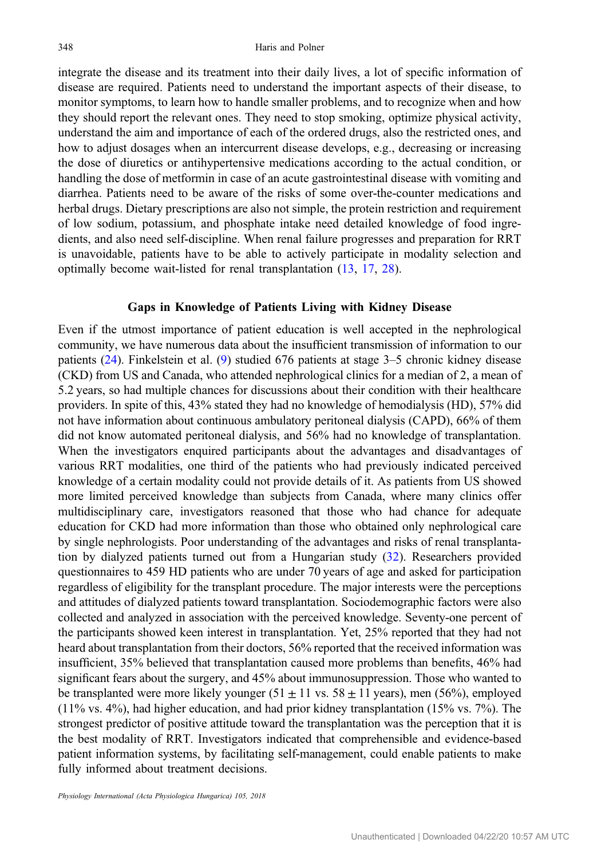integrate the disease and its treatment into their daily lives, a lot of specific information of disease are required. Patients need to understand the important aspects of their disease, to monitor symptoms, to learn how to handle smaller problems, and to recognize when and how they should report the relevant ones. They need to stop smoking, optimize physical activity, understand the aim and importance of each of the ordered drugs, also the restricted ones, and how to adjust dosages when an intercurrent disease develops, e.g., decreasing or increasing the dose of diuretics or antihypertensive medications according to the actual condition, or handling the dose of metformin in case of an acute gastrointestinal disease with vomiting and diarrhea. Patients need to be aware of the risks of some over-the-counter medications and herbal drugs. Dietary prescriptions are also not simple, the protein restriction and requirement of low sodium, potassium, and phosphate intake need detailed knowledge of food ingredients, and also need self-discipline. When renal failure progresses and preparation for RRT is unavoidable, patients have to be able to actively participate in modality selection and optimally become wait-listed for renal transplantation ([13,](#page-7-0) [17,](#page-7-0) [28\)](#page-8-0).

## Gaps in Knowledge of Patients Living with Kidney Disease

Even if the utmost importance of patient education is well accepted in the nephrological community, we have numerous data about the insufficient transmission of information to our patients ([24\)](#page-8-0). Finkelstein et al. ([9\)](#page-7-0) studied 676 patients at stage 3–5 chronic kidney disease (CKD) from US and Canada, who attended nephrological clinics for a median of 2, a mean of 5.2 years, so had multiple chances for discussions about their condition with their healthcare providers. In spite of this, 43% stated they had no knowledge of hemodialysis (HD), 57% did not have information about continuous ambulatory peritoneal dialysis (CAPD), 66% of them did not know automated peritoneal dialysis, and 56% had no knowledge of transplantation. When the investigators enquired participants about the advantages and disadvantages of various RRT modalities, one third of the patients who had previously indicated perceived knowledge of a certain modality could not provide details of it. As patients from US showed more limited perceived knowledge than subjects from Canada, where many clinics offer multidisciplinary care, investigators reasoned that those who had chance for adequate education for CKD had more information than those who obtained only nephrological care by single nephrologists. Poor understanding of the advantages and risks of renal transplantation by dialyzed patients turned out from a Hungarian study [\(32](#page-8-0)). Researchers provided questionnaires to 459 HD patients who are under 70 years of age and asked for participation regardless of eligibility for the transplant procedure. The major interests were the perceptions and attitudes of dialyzed patients toward transplantation. Sociodemographic factors were also collected and analyzed in association with the perceived knowledge. Seventy-one percent of the participants showed keen interest in transplantation. Yet, 25% reported that they had not heard about transplantation from their doctors, 56% reported that the received information was insufficient, 35% believed that transplantation caused more problems than benefits, 46% had significant fears about the surgery, and 45% about immunosuppression. Those who wanted to be transplanted were more likely younger  $(51 \pm 11 \text{ vs. } 58 \pm 11 \text{ years})$ , men  $(56\%)$ , employed (11% vs. 4%), had higher education, and had prior kidney transplantation (15% vs. 7%). The strongest predictor of positive attitude toward the transplantation was the perception that it is the best modality of RRT. Investigators indicated that comprehensible and evidence-based patient information systems, by facilitating self-management, could enable patients to make fully informed about treatment decisions.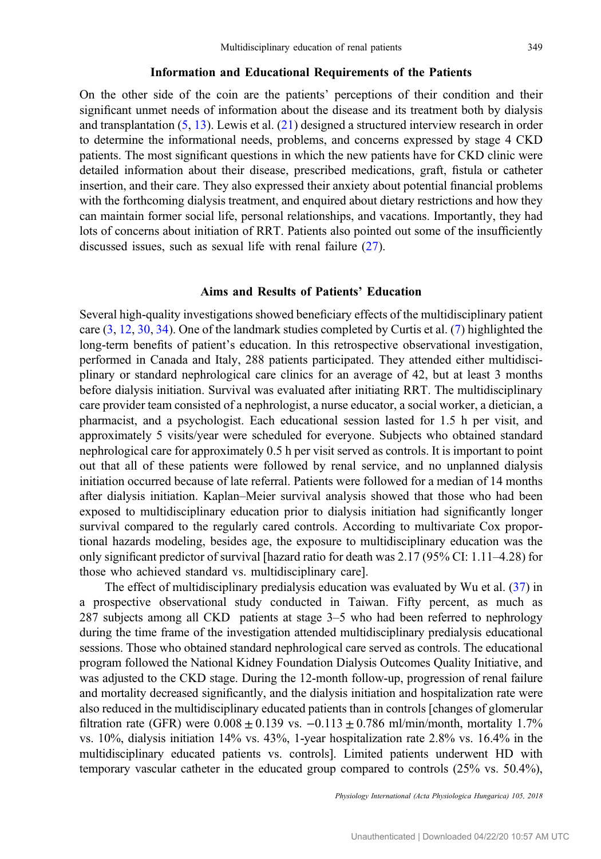## Information and Educational Requirements of the Patients

On the other side of the coin are the patients' perceptions of their condition and their significant unmet needs of information about the disease and its treatment both by dialysis and transplantation  $(5, 13)$  $(5, 13)$  $(5, 13)$  $(5, 13)$ . Lewis et al.  $(21)$  $(21)$  designed a structured interview research in order to determine the informational needs, problems, and concerns expressed by stage 4 CKD patients. The most significant questions in which the new patients have for CKD clinic were detailed information about their disease, prescribed medications, graft, fistula or catheter insertion, and their care. They also expressed their anxiety about potential financial problems with the forthcoming dialysis treatment, and enquired about dietary restrictions and how they can maintain former social life, personal relationships, and vacations. Importantly, they had lots of concerns about initiation of RRT. Patients also pointed out some of the insufficiently discussed issues, such as sexual life with renal failure ([27\)](#page-8-0).

#### Aims and Results of Patients' Education

Several high-quality investigations showed beneficiary effects of the multidisciplinary patient care ([3,](#page-7-0) [12](#page-7-0), [30](#page-8-0), [34\)](#page-8-0). One of the landmark studies completed by Curtis et al. [\(7](#page-7-0)) highlighted the long-term benefits of patient's education. In this retrospective observational investigation, performed in Canada and Italy, 288 patients participated. They attended either multidisciplinary or standard nephrological care clinics for an average of 42, but at least 3 months before dialysis initiation. Survival was evaluated after initiating RRT. The multidisciplinary care provider team consisted of a nephrologist, a nurse educator, a social worker, a dietician, a pharmacist, and a psychologist. Each educational session lasted for 1.5 h per visit, and approximately 5 visits/year were scheduled for everyone. Subjects who obtained standard nephrological care for approximately 0.5 h per visit served as controls. It is important to point out that all of these patients were followed by renal service, and no unplanned dialysis initiation occurred because of late referral. Patients were followed for a median of 14 months after dialysis initiation. Kaplan–Meier survival analysis showed that those who had been exposed to multidisciplinary education prior to dialysis initiation had significantly longer survival compared to the regularly cared controls. According to multivariate Cox proportional hazards modeling, besides age, the exposure to multidisciplinary education was the only significant predictor of survival [hazard ratio for death was 2.17 (95% CI: 1.11–4.28) for those who achieved standard vs. multidisciplinary care].

The effect of multidisciplinary predialysis education was evaluated by Wu et al. [\(37](#page-8-0)) in a prospective observational study conducted in Taiwan. Fifty percent, as much as 287 subjects among all CKD patients at stage 3–5 who had been referred to nephrology during the time frame of the investigation attended multidisciplinary predialysis educational sessions. Those who obtained standard nephrological care served as controls. The educational program followed the National Kidney Foundation Dialysis Outcomes Quality Initiative, and was adjusted to the CKD stage. During the 12-month follow-up, progression of renal failure and mortality decreased significantly, and the dialysis initiation and hospitalization rate were also reduced in the multidisciplinary educated patients than in controls [changes of glomerular filtration rate (GFR) were  $0.008 \pm 0.139$  vs.  $-0.113 \pm 0.786$  ml/min/month, mortality 1.7% vs. 10%, dialysis initiation 14% vs. 43%, 1-year hospitalization rate 2.8% vs. 16.4% in the multidisciplinary educated patients vs. controls]. Limited patients underwent HD with temporary vascular catheter in the educated group compared to controls (25% vs. 50.4%),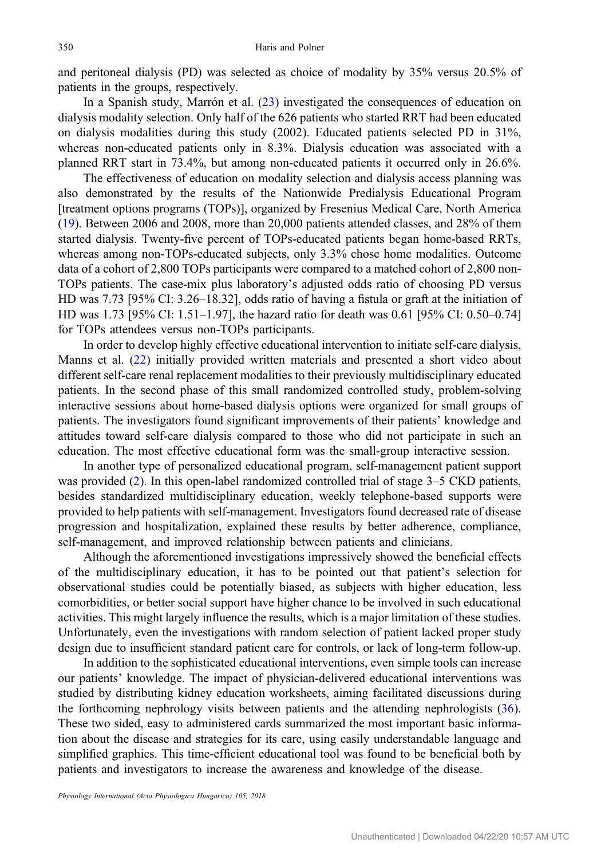and peritoneal dialysis (PD) was selected as choice of modality by 35% versus 20.5% of patients in the groups, respectively.

In a Spanish study, Marrón et al.  $(23)$  $(23)$  investigated the consequences of education on dialysis modality selection. Only half of the 626 patients who started RRT had been educated on dialysis modalities during this study (2002). Educated patients selected PD in 31%, whereas non-educated patients only in 8.3%. Dialysis education was associated with a planned RRT start in 73.4%, but among non-educated patients it occurred only in 26.6%.

The effectiveness of education on modality selection and dialysis access planning was also demonstrated by the results of the Nationwide Predialysis Educational Program [treatment options programs (TOPs)], organized by Fresenius Medical Care, North America [\(19](#page-8-0)). Between 2006 and 2008, more than 20,000 patients attended classes, and 28% of them started dialysis. Twenty-five percent of TOPs-educated patients began home-based RRTs, whereas among non-TOPs-educated subjects, only 3.3% chose home modalities. Outcome data of a cohort of 2,800 TOPs participants were compared to a matched cohort of 2,800 non-TOPs patients. The case-mix plus laboratory's adjusted odds ratio of choosing PD versus HD was 7.73 [95% CI: 3.26–18.32], odds ratio of having a fistula or graft at the initiation of HD was 1.73 [95% CI: 1.51–1.97], the hazard ratio for death was 0.61 [95% CI: 0.50–0.74] for TOPs attendees versus non-TOPs participants.

In order to develop highly effective educational intervention to initiate self-care dialysis, Manns et al. ([22\)](#page-8-0) initially provided written materials and presented a short video about different self-care renal replacement modalities to their previously multidisciplinary educated patients. In the second phase of this small randomized controlled study, problem-solving interactive sessions about home-based dialysis options were organized for small groups of patients. The investigators found significant improvements of their patients' knowledge and attitudes toward self-care dialysis compared to those who did not participate in such an education. The most effective educational form was the small-group interactive session.

In another type of personalized educational program, self-management patient support was provided ([2\)](#page-7-0). In this open-label randomized controlled trial of stage 3–5 CKD patients, besides standardized multidisciplinary education, weekly telephone-based supports were provided to help patients with self-management. Investigators found decreased rate of disease progression and hospitalization, explained these results by better adherence, compliance, self-management, and improved relationship between patients and clinicians.

Although the aforementioned investigations impressively showed the beneficial effects of the multidisciplinary education, it has to be pointed out that patient's selection for observational studies could be potentially biased, as subjects with higher education, less comorbidities, or better social support have higher chance to be involved in such educational activities. This might largely influence the results, which is a major limitation of these studies. Unfortunately, even the investigations with random selection of patient lacked proper study design due to insufficient standard patient care for controls, or lack of long-term follow-up.

In addition to the sophisticated educational interventions, even simple tools can increase our patients' knowledge. The impact of physician-delivered educational interventions was studied by distributing kidney education worksheets, aiming facilitated discussions during the forthcoming nephrology visits between patients and the attending nephrologists [\(36](#page-8-0)). These two sided, easy to administered cards summarized the most important basic information about the disease and strategies for its care, using easily understandable language and simplified graphics. This time-efficient educational tool was found to be beneficial both by patients and investigators to increase the awareness and knowledge of the disease.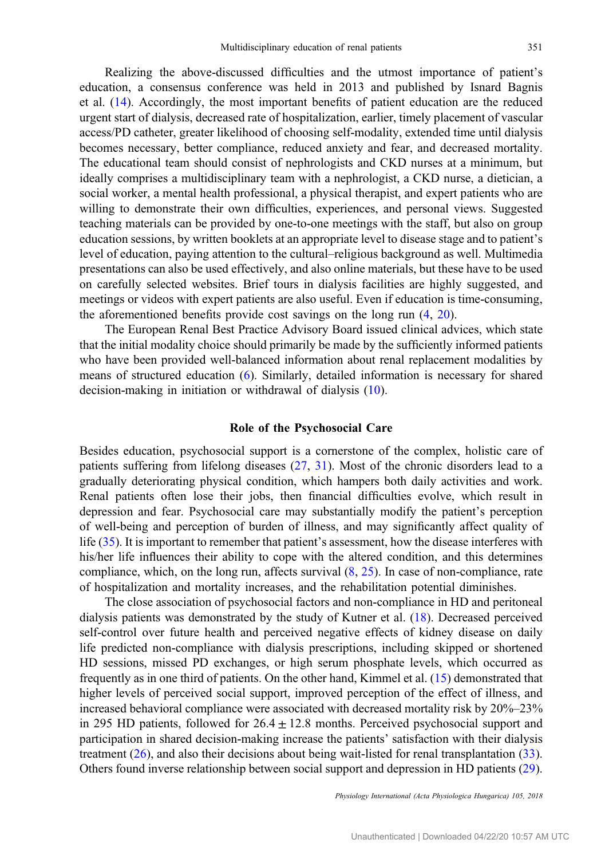Realizing the above-discussed difficulties and the utmost importance of patient's education, a consensus conference was held in 2013 and published by Isnard Bagnis et al. [\(14\)](#page-7-0). Accordingly, the most important benefits of patient education are the reduced urgent start of dialysis, decreased rate of hospitalization, earlier, timely placement of vascular access/PD catheter, greater likelihood of choosing self-modality, extended time until dialysis becomes necessary, better compliance, reduced anxiety and fear, and decreased mortality. The educational team should consist of nephrologists and CKD nurses at a minimum, but ideally comprises a multidisciplinary team with a nephrologist, a CKD nurse, a dietician, a social worker, a mental health professional, a physical therapist, and expert patients who are willing to demonstrate their own difficulties, experiences, and personal views. Suggested teaching materials can be provided by one-to-one meetings with the staff, but also on group education sessions, by written booklets at an appropriate level to disease stage and to patient's level of education, paying attention to the cultural–religious background as well. Multimedia presentations can also be used effectively, and also online materials, but these have to be used on carefully selected websites. Brief tours in dialysis facilities are highly suggested, and meetings or videos with expert patients are also useful. Even if education is time-consuming, the aforementioned benefits provide cost savings on the long run ([4](#page-7-0), [20\)](#page-8-0).

The European Renal Best Practice Advisory Board issued clinical advices, which state that the initial modality choice should primarily be made by the sufficiently informed patients who have been provided well-balanced information about renal replacement modalities by means of structured education [\(6](#page-7-0)). Similarly, detailed information is necessary for shared decision-making in initiation or withdrawal of dialysis [\(10](#page-7-0)).

## Role of the Psychosocial Care

Besides education, psychosocial support is a cornerstone of the complex, holistic care of patients suffering from lifelong diseases [\(27](#page-8-0), [31\)](#page-8-0). Most of the chronic disorders lead to a gradually deteriorating physical condition, which hampers both daily activities and work. Renal patients often lose their jobs, then financial difficulties evolve, which result in depression and fear. Psychosocial care may substantially modify the patient's perception of well-being and perception of burden of illness, and may significantly affect quality of life [\(35](#page-8-0)). It is important to remember that patient's assessment, how the disease interferes with his/her life influences their ability to cope with the altered condition, and this determines compliance, which, on the long run, affects survival [\(8](#page-7-0), [25](#page-8-0)). In case of non-compliance, rate of hospitalization and mortality increases, and the rehabilitation potential diminishes.

The close association of psychosocial factors and non-compliance in HD and peritoneal dialysis patients was demonstrated by the study of Kutner et al. [\(18](#page-8-0)). Decreased perceived self-control over future health and perceived negative effects of kidney disease on daily life predicted non-compliance with dialysis prescriptions, including skipped or shortened HD sessions, missed PD exchanges, or high serum phosphate levels, which occurred as frequently as in one third of patients. On the other hand, Kimmel et al. [\(15](#page-7-0)) demonstrated that higher levels of perceived social support, improved perception of the effect of illness, and increased behavioral compliance were associated with decreased mortality risk by 20%–23% in 295 HD patients, followed for  $26.4 \pm 12.8$  months. Perceived psychosocial support and participation in shared decision-making increase the patients' satisfaction with their dialysis treatment [\(26](#page-8-0)), and also their decisions about being wait-listed for renal transplantation [\(33](#page-8-0)). Others found inverse relationship between social support and depression in HD patients [\(29](#page-8-0)).

Physiology International (Acta Physiologica Hungarica) 105, 2018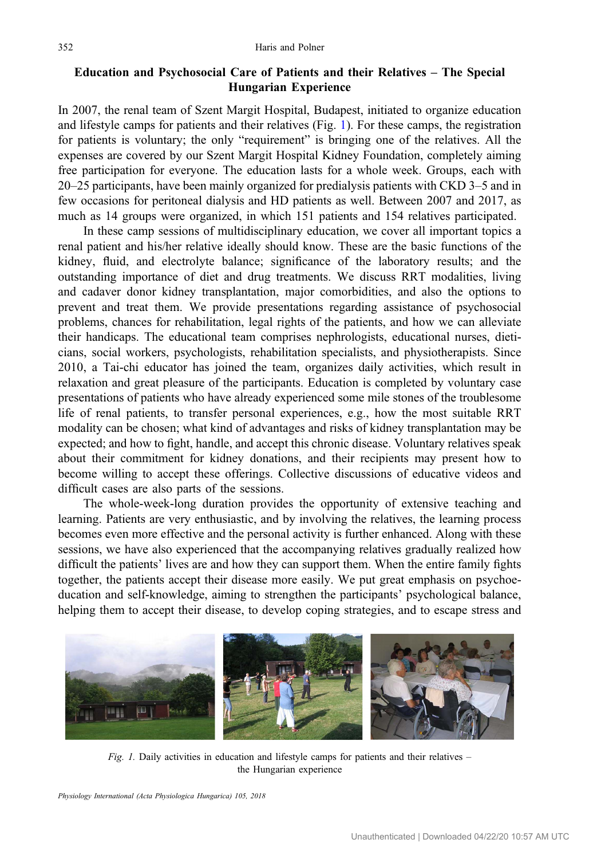## Education and Psychosocial Care of Patients and their Relatives – The Special Hungarian Experience

In 2007, the renal team of Szent Margit Hospital, Budapest, initiated to organize education and lifestyle camps for patients and their relatives (Fig. 1). For these camps, the registration for patients is voluntary; the only "requirement" is bringing one of the relatives. All the expenses are covered by our Szent Margit Hospital Kidney Foundation, completely aiming free participation for everyone. The education lasts for a whole week. Groups, each with 20–25 participants, have been mainly organized for predialysis patients with CKD 3–5 and in few occasions for peritoneal dialysis and HD patients as well. Between 2007 and 2017, as much as 14 groups were organized, in which 151 patients and 154 relatives participated.

In these camp sessions of multidisciplinary education, we cover all important topics a renal patient and his/her relative ideally should know. These are the basic functions of the kidney, fluid, and electrolyte balance; significance of the laboratory results; and the outstanding importance of diet and drug treatments. We discuss RRT modalities, living and cadaver donor kidney transplantation, major comorbidities, and also the options to prevent and treat them. We provide presentations regarding assistance of psychosocial problems, chances for rehabilitation, legal rights of the patients, and how we can alleviate their handicaps. The educational team comprises nephrologists, educational nurses, dieticians, social workers, psychologists, rehabilitation specialists, and physiotherapists. Since 2010, a Tai-chi educator has joined the team, organizes daily activities, which result in relaxation and great pleasure of the participants. Education is completed by voluntary case presentations of patients who have already experienced some mile stones of the troublesome life of renal patients, to transfer personal experiences, e.g., how the most suitable RRT modality can be chosen; what kind of advantages and risks of kidney transplantation may be expected; and how to fight, handle, and accept this chronic disease. Voluntary relatives speak about their commitment for kidney donations, and their recipients may present how to become willing to accept these offerings. Collective discussions of educative videos and difficult cases are also parts of the sessions.

The whole-week-long duration provides the opportunity of extensive teaching and learning. Patients are very enthusiastic, and by involving the relatives, the learning process becomes even more effective and the personal activity is further enhanced. Along with these sessions, we have also experienced that the accompanying relatives gradually realized how difficult the patients' lives are and how they can support them. When the entire family fights together, the patients accept their disease more easily. We put great emphasis on psychoeducation and self-knowledge, aiming to strengthen the participants' psychological balance, helping them to accept their disease, to develop coping strategies, and to escape stress and



Fig. 1. Daily activities in education and lifestyle camps for patients and their relatives – the Hungarian experience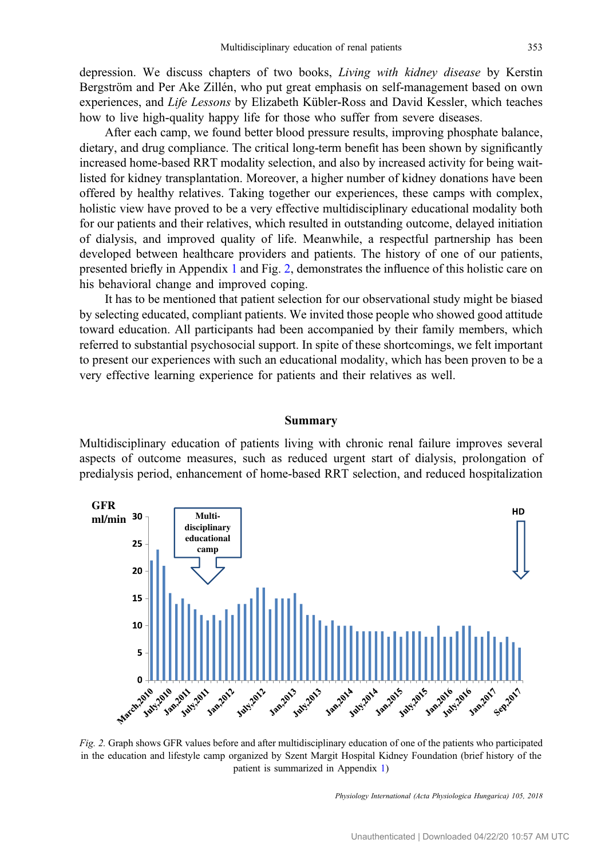<span id="page-6-0"></span>depression. We discuss chapters of two books, *Living with kidney disease* by Kerstin Bergström and Per Ake Zillén, who put great emphasis on self-management based on own experiences, and Life Lessons by Elizabeth Kübler-Ross and David Kessler, which teaches how to live high-quality happy life for those who suffer from severe diseases.

After each camp, we found better blood pressure results, improving phosphate balance, dietary, and drug compliance. The critical long-term benefit has been shown by significantly increased home-based RRT modality selection, and also by increased activity for being waitlisted for kidney transplantation. Moreover, a higher number of kidney donations have been offered by healthy relatives. Taking together our experiences, these camps with complex, holistic view have proved to be a very effective multidisciplinary educational modality both for our patients and their relatives, which resulted in outstanding outcome, delayed initiation of dialysis, and improved quality of life. Meanwhile, a respectful partnership has been developed between healthcare providers and patients. The history of one of our patients, presented briefly in Appendix [1](#page-8-0) and Fig. 2, demonstrates the influence of this holistic care on his behavioral change and improved coping.

It has to be mentioned that patient selection for our observational study might be biased by selecting educated, compliant patients. We invited those people who showed good attitude toward education. All participants had been accompanied by their family members, which referred to substantial psychosocial support. In spite of these shortcomings, we felt important to present our experiences with such an educational modality, which has been proven to be a very effective learning experience for patients and their relatives as well.

#### Summary

Multidisciplinary education of patients living with chronic renal failure improves several aspects of outcome measures, such as reduced urgent start of dialysis, prolongation of predialysis period, enhancement of home-based RRT selection, and reduced hospitalization



Fig. 2. Graph shows GFR values before and after multidisciplinary education of one of the patients who participated in the education and lifestyle camp organized by Szent Margit Hospital Kidney Foundation (brief history of the patient is summarized in Appendix [1\)](#page-8-0)

Physiology International (Acta Physiologica Hungarica) 105, 2018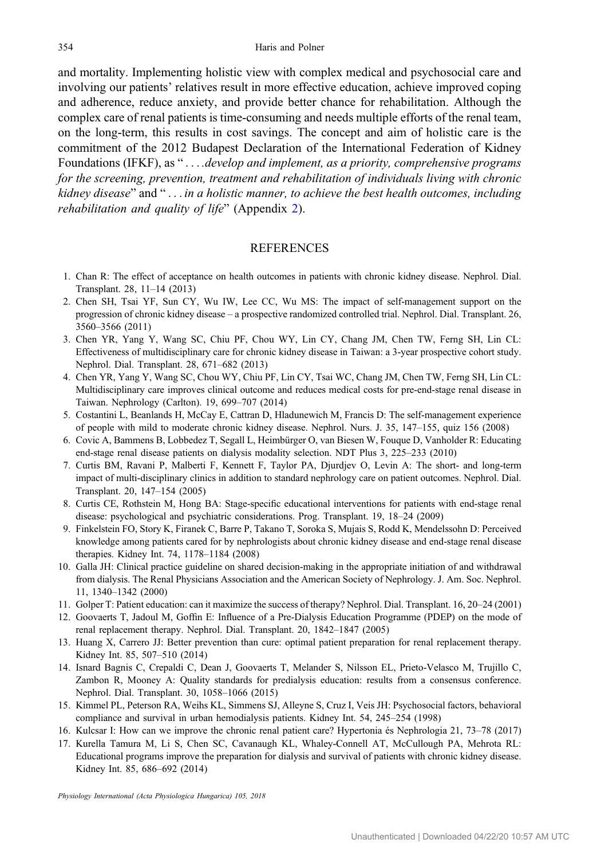<span id="page-7-0"></span>and mortality. Implementing holistic view with complex medical and psychosocial care and involving our patients' relatives result in more effective education, achieve improved coping and adherence, reduce anxiety, and provide better chance for rehabilitation. Although the complex care of renal patients is time-consuming and needs multiple efforts of the renal team, on the long-term, this results in cost savings. The concept and aim of holistic care is the commitment of the 2012 Budapest Declaration of the International Federation of Kidney Foundations (IFKF), as "...develop and implement, as a priority, comprehensive programs for the screening, prevention, treatment and rehabilitation of individuals living with chronic kidney disease" and " ... in a holistic manner, to achieve the best health outcomes, including rehabilitation and quality of life" (Appendix [2](#page-10-0)).

## **REFERENCES**

- 1. Chan R: The effect of acceptance on health outcomes in patients with chronic kidney disease. Nephrol. Dial. Transplant. 28, 11–14 (2013)
- 2. Chen SH, Tsai YF, Sun CY, Wu IW, Lee CC, Wu MS: The impact of self-management support on the progression of chronic kidney disease – a prospective randomized controlled trial. Nephrol. Dial. Transplant. 26, 3560–3566 (2011)
- 3. Chen YR, Yang Y, Wang SC, Chiu PF, Chou WY, Lin CY, Chang JM, Chen TW, Ferng SH, Lin CL: Effectiveness of multidisciplinary care for chronic kidney disease in Taiwan: a 3-year prospective cohort study. Nephrol. Dial. Transplant. 28, 671–682 (2013)
- 4. Chen YR, Yang Y, Wang SC, Chou WY, Chiu PF, Lin CY, Tsai WC, Chang JM, Chen TW, Ferng SH, Lin CL: Multidisciplinary care improves clinical outcome and reduces medical costs for pre-end-stage renal disease in Taiwan. Nephrology (Carlton). 19, 699–707 (2014)
- 5. Costantini L, Beanlands H, McCay E, Cattran D, Hladunewich M, Francis D: The self-management experience of people with mild to moderate chronic kidney disease. Nephrol. Nurs. J. 35, 147–155, quiz 156 (2008)
- 6. Covic A, Bammens B, Lobbedez T, Segall L, Heimbürger O, van Biesen W, Fouque D, Vanholder R: Educating end-stage renal disease patients on dialysis modality selection. NDT Plus 3, 225–233 (2010)
- 7. Curtis BM, Ravani P, Malberti F, Kennett F, Taylor PA, Djurdjev O, Levin A: The short- and long-term impact of multi-disciplinary clinics in addition to standard nephrology care on patient outcomes. Nephrol. Dial. Transplant. 20, 147–154 (2005)
- 8. Curtis CE, Rothstein M, Hong BA: Stage-specific educational interventions for patients with end-stage renal disease: psychological and psychiatric considerations. Prog. Transplant. 19, 18–24 (2009)
- 9. Finkelstein FO, Story K, Firanek C, Barre P, Takano T, Soroka S, Mujais S, Rodd K, Mendelssohn D: Perceived knowledge among patients cared for by nephrologists about chronic kidney disease and end-stage renal disease therapies. Kidney Int. 74, 1178–1184 (2008)
- 10. Galla JH: Clinical practice guideline on shared decision-making in the appropriate initiation of and withdrawal from dialysis. The Renal Physicians Association and the American Society of Nephrology. J. Am. Soc. Nephrol. 11, 1340–1342 (2000)
- 11. Golper T: Patient education: can it maximize the success of therapy? Nephrol. Dial. Transplant. 16, 20–24 (2001)
- 12. Goovaerts T, Jadoul M, Goffin E: Influence of a Pre-Dialysis Education Programme (PDEP) on the mode of renal replacement therapy. Nephrol. Dial. Transplant. 20, 1842–1847 (2005)
- 13. Huang X, Carrero JJ: Better prevention than cure: optimal patient preparation for renal replacement therapy. Kidney Int. 85, 507–510 (2014)
- 14. Isnard Bagnis C, Crepaldi C, Dean J, Goovaerts T, Melander S, Nilsson EL, Prieto-Velasco M, Trujillo C, Zambon R, Mooney A: Quality standards for predialysis education: results from a consensus conference. Nephrol. Dial. Transplant. 30, 1058–1066 (2015)
- 15. Kimmel PL, Peterson RA, Weihs KL, Simmens SJ, Alleyne S, Cruz I, Veis JH: Psychosocial factors, behavioral compliance and survival in urban hemodialysis patients. Kidney Int. 54, 245–254 (1998)
- 16. Kulcsar I: How can we improve the chronic renal patient care? Hypertonia és Nephrologia 21, 73–78 (2017)
- 17. Kurella Tamura M, Li S, Chen SC, Cavanaugh KL, Whaley-Connell AT, McCullough PA, Mehrota RL: Educational programs improve the preparation for dialysis and survival of patients with chronic kidney disease. Kidney Int. 85, 686–692 (2014)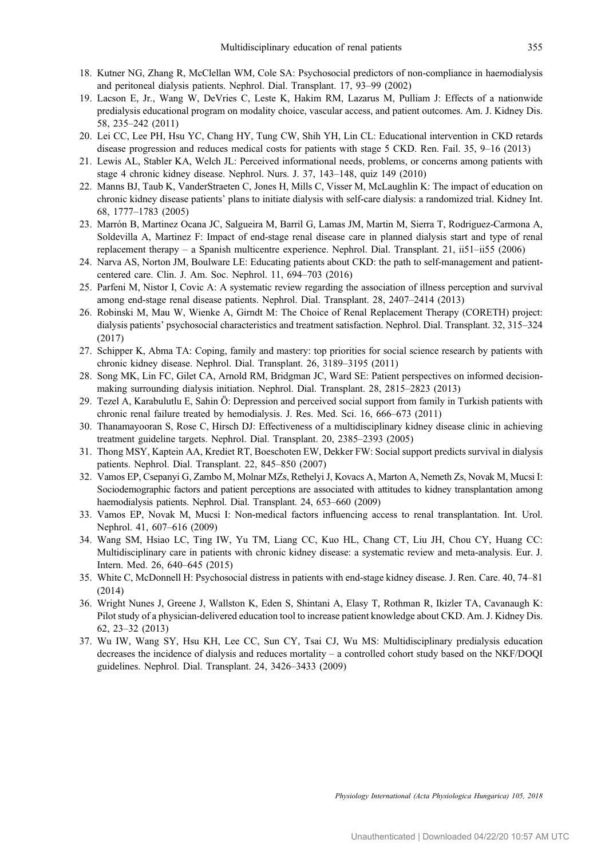- <span id="page-8-0"></span>18. Kutner NG, Zhang R, McClellan WM, Cole SA: Psychosocial predictors of non-compliance in haemodialysis and peritoneal dialysis patients. Nephrol. Dial. Transplant. 17, 93–99 (2002)
- 19. Lacson E, Jr., Wang W, DeVries C, Leste K, Hakim RM, Lazarus M, Pulliam J: Effects of a nationwide predialysis educational program on modality choice, vascular access, and patient outcomes. Am. J. Kidney Dis. 58, 235–242 (2011)
- 20. Lei CC, Lee PH, Hsu YC, Chang HY, Tung CW, Shih YH, Lin CL: Educational intervention in CKD retards disease progression and reduces medical costs for patients with stage 5 CKD. Ren. Fail. 35, 9–16 (2013)
- 21. Lewis AL, Stabler KA, Welch JL: Perceived informational needs, problems, or concerns among patients with stage 4 chronic kidney disease. Nephrol. Nurs. J. 37, 143–148, quiz 149 (2010)
- 22. Manns BJ, Taub K, VanderStraeten C, Jones H, Mills C, Visser M, McLaughlin K: The impact of education on chronic kidney disease patients' plans to initiate dialysis with self-care dialysis: a randomized trial. Kidney Int. 68, 1777–1783 (2005)
- 23. Marrón B, Martinez Ocana JC, Salgueira M, Barril G, Lamas JM, Martin M, Sierra T, Rodriguez-Carmona A, Soldevilla A, Martinez F: Impact of end-stage renal disease care in planned dialysis start and type of renal replacement therapy – a Spanish multicentre experience. Nephrol. Dial. Transplant. 21, ii51–ii55 (2006)
- 24. Narva AS, Norton JM, Boulware LE: Educating patients about CKD: the path to self-management and patientcentered care. Clin. J. Am. Soc. Nephrol. 11, 694–703 (2016)
- 25. Parfeni M, Nistor I, Covic A: A systematic review regarding the association of illness perception and survival among end-stage renal disease patients. Nephrol. Dial. Transplant. 28, 2407–2414 (2013)
- 26. Robinski M, Mau W, Wienke A, Girndt M: The Choice of Renal Replacement Therapy (CORETH) project: dialysis patients' psychosocial characteristics and treatment satisfaction. Nephrol. Dial. Transplant. 32, 315–324 (2017)
- 27. Schipper K, Abma TA: Coping, family and mastery: top priorities for social science research by patients with chronic kidney disease. Nephrol. Dial. Transplant. 26, 3189–3195 (2011)
- 28. Song MK, Lin FC, Gilet CA, Arnold RM, Bridgman JC, Ward SE: Patient perspectives on informed decisionmaking surrounding dialysis initiation. Nephrol. Dial. Transplant. 28, 2815–2823 (2013)
- 29. Tezel A, Karabulutlu E, Sahin Ö: Depression and perceived social support from family in Turkish patients with chronic renal failure treated by hemodialysis. J. Res. Med. Sci. 16, 666–673 (2011)
- 30. Thanamayooran S, Rose C, Hirsch DJ: Effectiveness of a multidisciplinary kidney disease clinic in achieving treatment guideline targets. Nephrol. Dial. Transplant. 20, 2385–2393 (2005)
- 31. Thong MSY, Kaptein AA, Krediet RT, Boeschoten EW, Dekker FW: Social support predicts survival in dialysis patients. Nephrol. Dial. Transplant. 22, 845–850 (2007)
- 32. Vamos EP, Csepanyi G, Zambo M, Molnar MZs, Rethelyi J, Kovacs A, Marton A, Nemeth Zs, Novak M, Mucsi I: Sociodemographic factors and patient perceptions are associated with attitudes to kidney transplantation among haemodialysis patients. Nephrol. Dial. Transplant. 24, 653–660 (2009)
- 33. Vamos EP, Novak M, Mucsi I: Non-medical factors influencing access to renal transplantation. Int. Urol. Nephrol. 41, 607–616 (2009)
- 34. Wang SM, Hsiao LC, Ting IW, Yu TM, Liang CC, Kuo HL, Chang CT, Liu JH, Chou CY, Huang CC: Multidisciplinary care in patients with chronic kidney disease: a systematic review and meta-analysis. Eur. J. Intern. Med. 26, 640–645 (2015)
- 35. White C, McDonnell H: Psychosocial distress in patients with end-stage kidney disease. J. Ren. Care. 40, 74–81 (2014)
- 36. Wright Nunes J, Greene J, Wallston K, Eden S, Shintani A, Elasy T, Rothman R, Ikizler TA, Cavanaugh K: Pilot study of a physician-delivered education tool to increase patient knowledge about CKD. Am. J. Kidney Dis. 62, 23–32 (2013)
- 37. Wu IW, Wang SY, Hsu KH, Lee CC, Sun CY, Tsai CJ, Wu MS: Multidisciplinary predialysis education decreases the incidence of dialysis and reduces mortality – a controlled cohort study based on the NKF/DOQI guidelines. Nephrol. Dial. Transplant. 24, 3426–3433 (2009)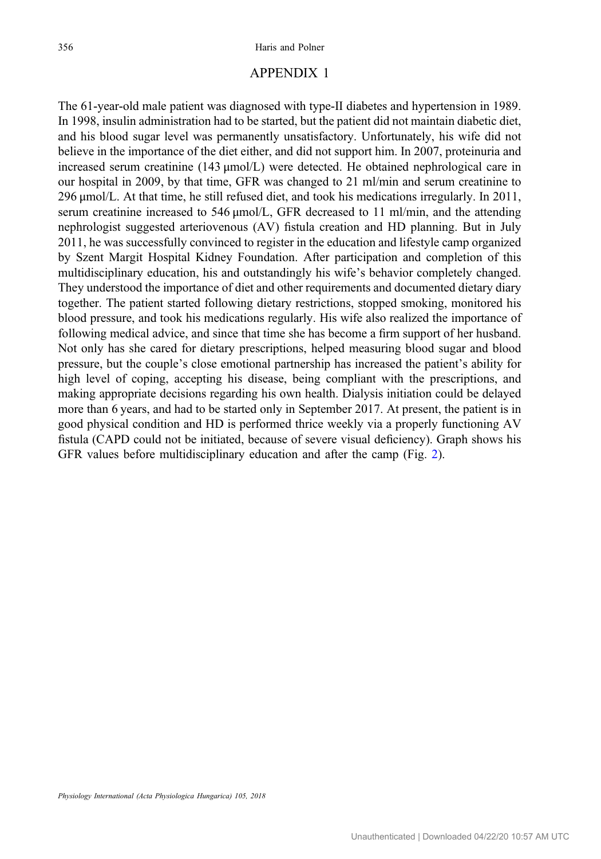## APPENDIX 1

The 61-year-old male patient was diagnosed with type-II diabetes and hypertension in 1989. In 1998, insulin administration had to be started, but the patient did not maintain diabetic diet, and his blood sugar level was permanently unsatisfactory. Unfortunately, his wife did not believe in the importance of the diet either, and did not support him. In 2007, proteinuria and increased serum creatinine (143 μmol/L) were detected. He obtained nephrological care in our hospital in 2009, by that time, GFR was changed to 21 ml/min and serum creatinine to 296 μmol/L. At that time, he still refused diet, and took his medications irregularly. In 2011, serum creatinine increased to 546 μmol/L, GFR decreased to 11 ml/min, and the attending nephrologist suggested arteriovenous (AV) fistula creation and HD planning. But in July 2011, he was successfully convinced to register in the education and lifestyle camp organized by Szent Margit Hospital Kidney Foundation. After participation and completion of this multidisciplinary education, his and outstandingly his wife's behavior completely changed. They understood the importance of diet and other requirements and documented dietary diary together. The patient started following dietary restrictions, stopped smoking, monitored his blood pressure, and took his medications regularly. His wife also realized the importance of following medical advice, and since that time she has become a firm support of her husband. Not only has she cared for dietary prescriptions, helped measuring blood sugar and blood pressure, but the couple's close emotional partnership has increased the patient's ability for high level of coping, accepting his disease, being compliant with the prescriptions, and making appropriate decisions regarding his own health. Dialysis initiation could be delayed more than 6 years, and had to be started only in September 2017. At present, the patient is in good physical condition and HD is performed thrice weekly via a properly functioning AV fistula (CAPD could not be initiated, because of severe visual deficiency). Graph shows his GFR values before multidisciplinary education and after the camp (Fig. [2\)](#page-6-0).